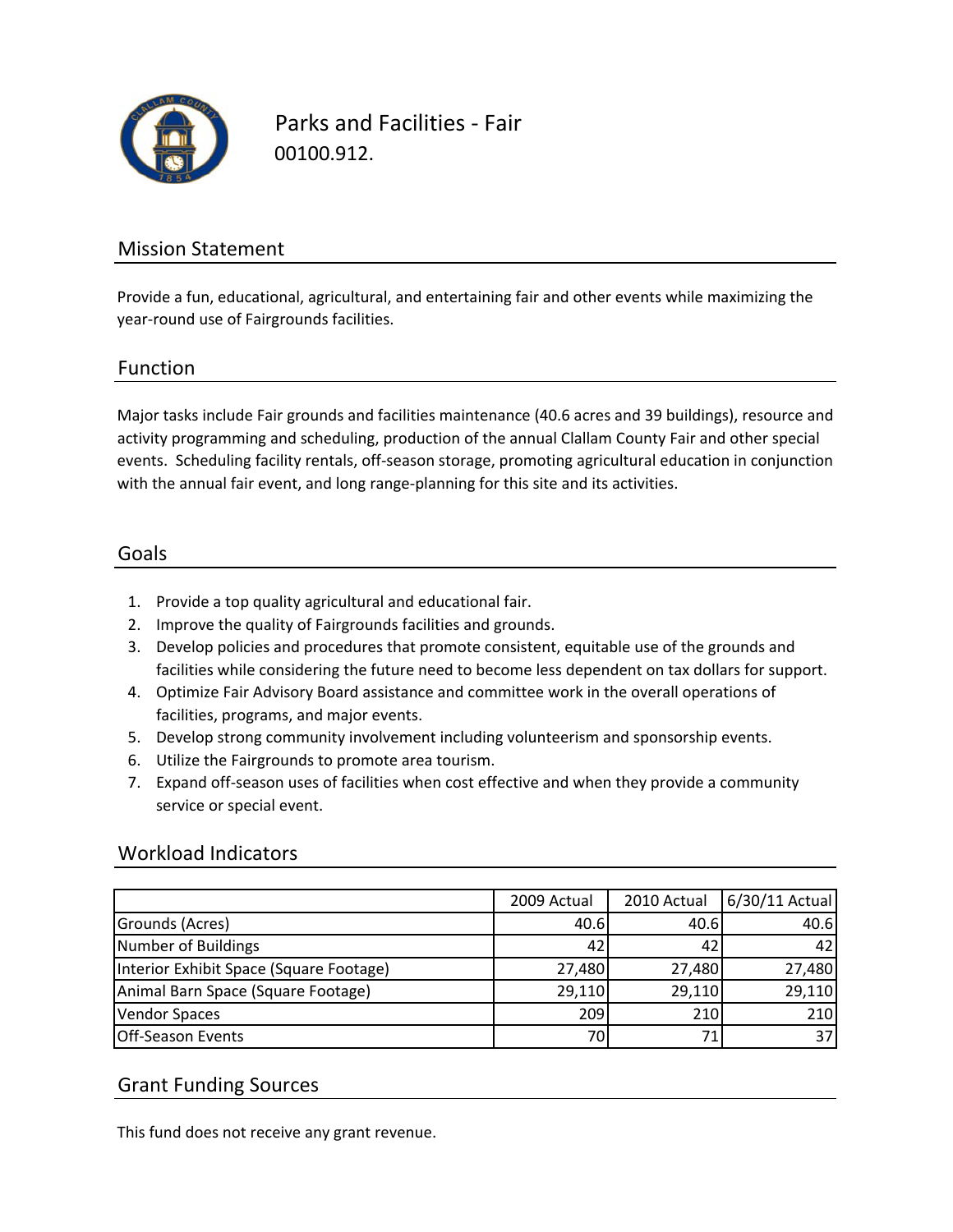

Parks and Facilities ‐ Fair 00100.912.

### Mission Statement

Provide a fun, educational, agricultural, and entertaining fair and other events while maximizing the year‐round use of Fairgrounds facilities.

#### Function

Major tasks include Fair grounds and facilities maintenance (40.6 acres and 39 buildings), resource and activity programming and scheduling, production of the annual Clallam County Fair and other special events. Scheduling facility rentals, off‐season storage, promoting agricultural education in conjunction with the annual fair event, and long range-planning for this site and its activities.

#### Goals

- 1. Provide a top quality agricultural and educational fair.
- 2. Improve the quality of Fairgrounds facilities and grounds.
- 3. Develop policies and procedures that promote consistent, equitable use of the grounds and facilities while considering the future need to become less dependent on tax dollars for support.
- 4. Optimize Fair Advisory Board assistance and committee work in the overall operations of facilities, programs, and major events.
- 5. Develop strong community involvement including volunteerism and sponsorship events.
- 6. Utilize the Fairgrounds to promote area tourism.
- 7. Expand off‐season uses of facilities when cost effective and when they provide a community service or special event.

#### Workload Indicators

|                                         | 2009 Actual | 2010 Actual | 6/30/11 Actual |
|-----------------------------------------|-------------|-------------|----------------|
| Grounds (Acres)                         | 40.6        | 40.6        | 40.6           |
| Number of Buildings                     | 42          | 42          | 42             |
| Interior Exhibit Space (Square Footage) | 27,480      | 27,480      | 27,480         |
| Animal Barn Space (Square Footage)      | 29,110      | 29,110      | 29,110         |
| <b>Vendor Spaces</b>                    | 209         | 210         | 210            |
| <b>Off-Season Events</b>                | 70          |             | 37             |

#### Grant Funding Sources

This fund does not receive any grant revenue.